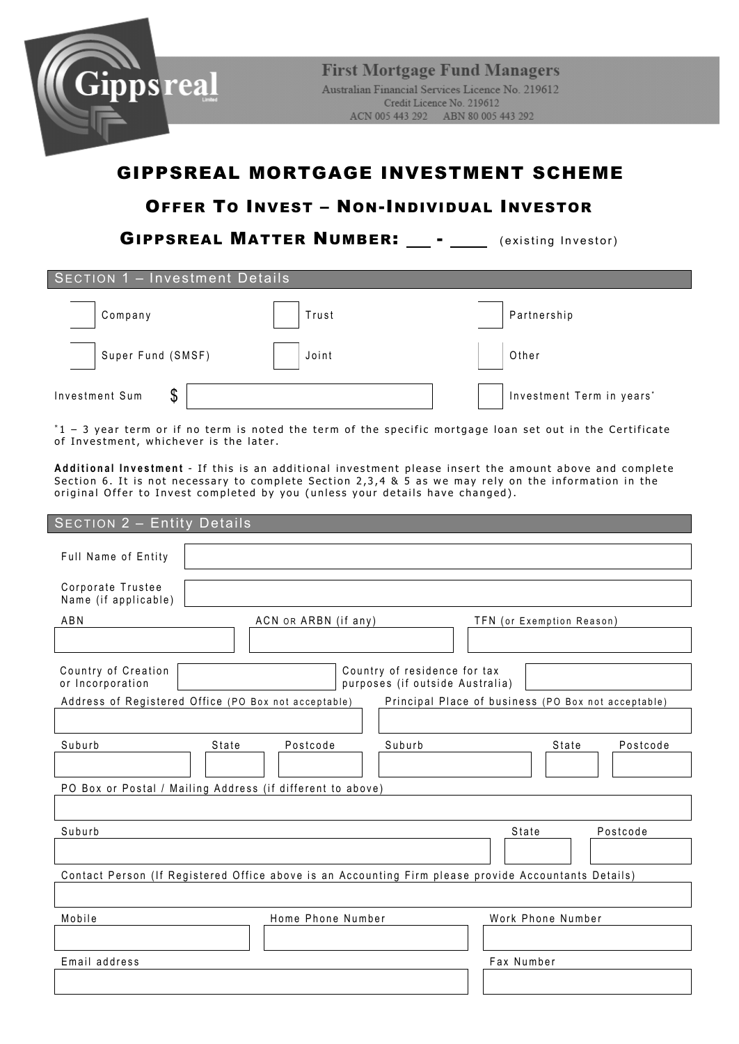

# GIPPSREAL MORTGAGE INVESTMENT SCHEME

## OFFER TO INVEST – NON-INDIVIDUAL INVESTOR

GIPPSREAL MATTER NUMBER: \_\_ - \_\_\_\_ (existing Investor)

| <b>SECTION 1 - Investment Details</b> |       |                           |  |  |  |
|---------------------------------------|-------|---------------------------|--|--|--|
| Company                               | Trust | Partnership               |  |  |  |
| Super Fund (SMSF)                     | Joint | Other                     |  |  |  |
| \$<br>Investment Sum                  |       | Investment Term in years' |  |  |  |

\* 1 – 3 year term or if no term is noted the term of the specific mortgage loan set out in the Certificate of Investment, whichever is the later.

**Additional Investment** - If this is an additional investment please insert the amount above and complete Section 6. It is not necessary to complete Section 2,3,4 & 5 as we may rely on the information in the original Offer to Invest completed by you (unless your details have changed).

| <b>SECTION 2 - Entity Details</b>                                                                    |                      |                                                                 |                           |       |          |
|------------------------------------------------------------------------------------------------------|----------------------|-----------------------------------------------------------------|---------------------------|-------|----------|
| Full Name of Entity                                                                                  |                      |                                                                 |                           |       |          |
| Corporate Trustee<br>Name (if applicable)                                                            |                      |                                                                 |                           |       |          |
| ABN                                                                                                  | ACN OR ARBN (if any) |                                                                 | TFN (or Exemption Reason) |       |          |
|                                                                                                      |                      |                                                                 |                           |       |          |
| Country of Creation<br>or Incorporation                                                              |                      | Country of residence for tax<br>purposes (if outside Australia) |                           |       |          |
| Address of Registered Office (PO Box not acceptable)                                                 |                      | Principal Place of business (PO Box not acceptable)             |                           |       |          |
|                                                                                                      |                      |                                                                 |                           |       |          |
| Suburb<br>State                                                                                      | Postcode             | Suburb                                                          |                           | State | Postcode |
|                                                                                                      |                      |                                                                 |                           |       |          |
| PO Box or Postal / Mailing Address (if different to above)                                           |                      |                                                                 |                           |       |          |
|                                                                                                      |                      |                                                                 |                           |       |          |
| Suburb                                                                                               |                      |                                                                 | State                     |       | Postcode |
|                                                                                                      |                      |                                                                 |                           |       |          |
| Contact Person (If Registered Office above is an Accounting Firm please provide Accountants Details) |                      |                                                                 |                           |       |          |
|                                                                                                      |                      |                                                                 |                           |       |          |
| Mobile                                                                                               | Home Phone Number    |                                                                 | Work Phone Number         |       |          |
|                                                                                                      |                      |                                                                 |                           |       |          |
| Email address                                                                                        |                      |                                                                 | Fax Number                |       |          |
|                                                                                                      |                      |                                                                 |                           |       |          |
|                                                                                                      |                      |                                                                 |                           |       |          |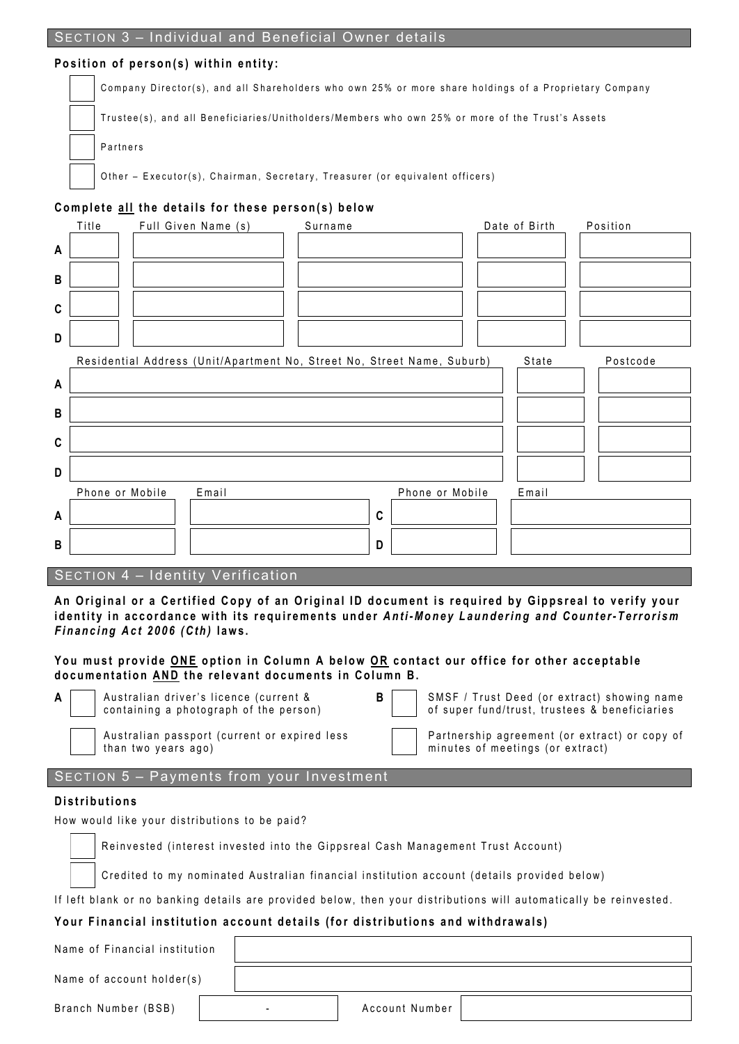## **Position of person(s) within entity:**

Company Director(s), and all Shareholders who own 25% or more share holdings of a Proprietary Company

Trustee(s), and all Beneficiaries/Unitholders/Members who own 25% or more of the Trust's Assets

**Partners** 

Other - Executor(s), Chairman, Secretary, Treasurer (or equivalent officers)

## **Complete a l l the details for these person(s) below**

|              | Title           | Full Given Name (s)                                                     | Surname |             |                 | Date of Birth | Position |
|--------------|-----------------|-------------------------------------------------------------------------|---------|-------------|-----------------|---------------|----------|
| A            |                 |                                                                         |         |             |                 |               |          |
| $\sf{B}$     |                 |                                                                         |         |             |                 |               |          |
| $\mathbf c$  |                 |                                                                         |         |             |                 |               |          |
| D            |                 |                                                                         |         |             |                 |               |          |
|              |                 | Residential Address (Unit/Apartment No, Street No, Street Name, Suburb) |         |             |                 | State         | Postcode |
| A            |                 |                                                                         |         |             |                 |               |          |
| $\, {\bf B}$ |                 |                                                                         |         |             |                 |               |          |
| $\mathbf C$  |                 |                                                                         |         |             |                 |               |          |
| D            |                 |                                                                         |         |             |                 |               |          |
|              | Phone or Mobile | Email                                                                   |         |             | Phone or Mobile | Email         |          |
| A            |                 |                                                                         |         | $\mathbf c$ |                 |               |          |
| $\sf{B}$     |                 |                                                                         |         | D           |                 |               |          |
|              |                 |                                                                         |         |             |                 |               |          |

## SECTION 4 – Identity Verification

**An Original o r a Certified Copy of an Original ID document is required by Gippsreal to verify your identity in accordance with its requirements under** *Anti-Money Laundering and Counter- Terrorism Financing Act 2006 (Cth)* **laws .** 

## **You must provide ONE option in Column A b e low O R contact our office for other acceptable documentation AND the relevant documents in Column B.**

| A I | Australian driver's licence (current & |  |
|-----|----------------------------------------|--|
|     | containing a photograph of the person) |  |

**B** SMSF / Trust Deed (or extract) showing name of super fund/trust, trustees & beneficiaries

Australian passport (current or expired less

Partnership agreement (or extract) or copy of minutes of meetings (or extract)

## SECTION 5 – Payments from your Investment

#### **Distributions**

How would like your distributions to be paid?

than two years ago)

Reinvested (interest invested into the Gippsreal Cash Management Trust Account)

Credited to my nominated Australian financial institution account (details provided below)

If left blank or no banking details are provided below, then your distributions will automatically be reinvested.

## **Your Financial institution account details (for distributions and withdrawals)**

Name of Financial institution

Name of account holder(s)

Branch Number (BSB) | Account Number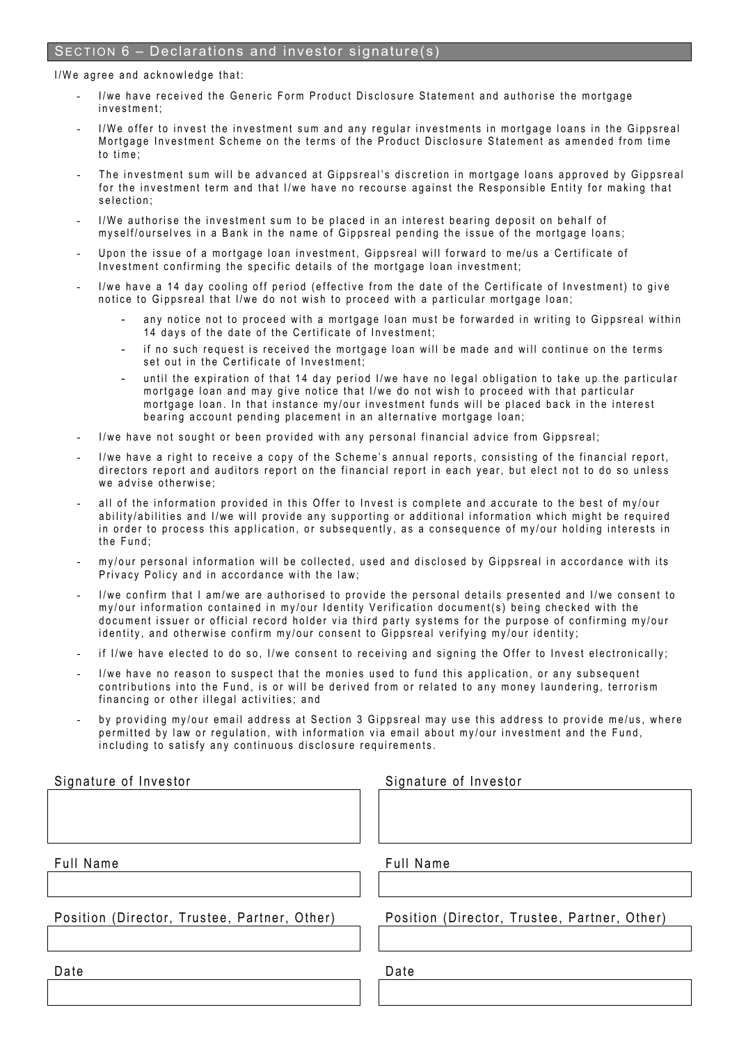## SECTION 6 – Declarations and investor signature(s)

#### I/We agree and acknowledge that:

- I/we have received the Generic Form Product Disclosure Statement and authorise the mortgage investment;
- I/We offer to invest the investment sum and any regular investments in mortgage loans in the Gippsreal Mortgage Investment Scheme on the terms of the Product Disclosure Statement as amended from time to time;
- The investment sum will be advanced at Gippsreal's discretion in mortgage loans approved by Gippsreal for the in vestment term and that I/we have no recourse against the Responsible Entity for making that selection ;
- I/We authorise the investment sum to be placed in an interest bearing deposit on behalf of myself/ourselves in a Bank in the name of Gippsreal pending the issue of the mortgage loans;
- Upon the issue of a mortgage loan investment, Gippsreal will forward to me/us a Certificate of Investment confirming the specific details of the mortgage loan investment;
- I/we have a 14 day cooling off period (effective from the date of the Certificate of Investment) to give notice to Gippsreal that I/we do not wish to proceed with a particular mortgage loan;
	- any notice not to proceed with a mortgage loan must be forwarded in writing to Gippsreal within 14 days of the date of the Certificate of Investment;
	- if no such request is received the mortgage loan will be made and will continue on the terms set out in the Certificate of Investment;
	- until the expiration of that 14 day period I/we have no legal obligation to take up the particular mortgage loan and may give notice that I/we do not wish to proceed with that particular mortgage loan. In that instance my/our investment funds will be placed back in the interest bearing account pending placement in an alternative mortgage loan;
- I/we have not sought or been provided with any personal financial advice from Gippsreal;
- I/we have a right to receive a copy of the Scheme's annual reports, consisting of the financial report, directors report and auditors report on the financial report in each year, but elect not to do so unless we advise otherwise;
- all of the information provided in this Offer to Invest is complete and accurate to the best of my/our ability/abilities and I/we will provide any supporting or additional information which might be required in order to process this application, or subsequently, as a consequence of my/our holding interests in the Fund;
- my/our personal information will be collected, used and disclosed by Gippsreal in accordance with its Privacy Policy and in accordance with the law;
- I/we confirm that I am/we are authorised to provide the personal details presented and I/we consent to my/our information contained in my/our Identity Verification document(s) being checked with the document issuer or official record holder via third party systems for the purpose of confirming my/our identity, and otherwise confirm my/our consent to Gippsreal verifying my/our identity;
- if I/we have elected to do so, I/we consent to receiving and signing the Offer to Invest electronically;
- I/we have no reason to suspect that the monies used to fund this application, or any subsequent contributions into the Fund, is or will be derived from or related to any money laundering, terrorism financing or other illegal activities; and
- by providing my/our email address at Section 3 Gippsreal may use this address to provide me/us, where permitted by law or regulation, with information via email about my/our investment and the Fund, including to satisfy any continuous disclosure requirements.

| Signature of Investor                        | Signature of Investor                        |  |  |  |
|----------------------------------------------|----------------------------------------------|--|--|--|
|                                              |                                              |  |  |  |
|                                              |                                              |  |  |  |
|                                              |                                              |  |  |  |
| Full Name                                    | Full Name                                    |  |  |  |
|                                              |                                              |  |  |  |
| Position (Director, Trustee, Partner, Other) | Position (Director, Trustee, Partner, Other) |  |  |  |
|                                              |                                              |  |  |  |
| Date                                         | Date                                         |  |  |  |
|                                              |                                              |  |  |  |